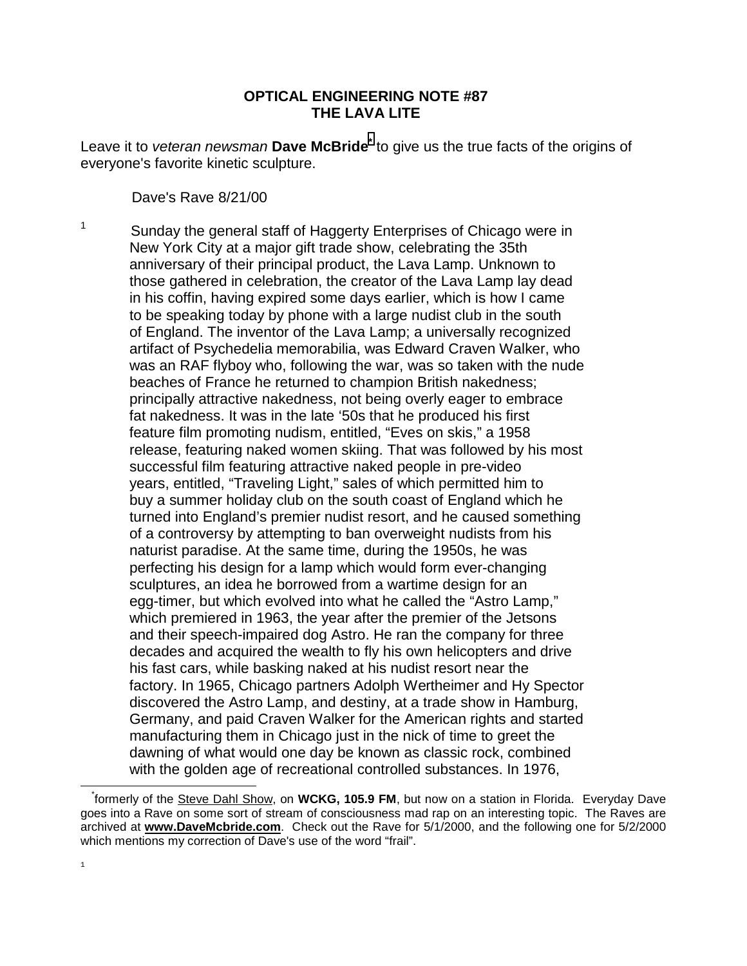## **OPTICAL ENGINEERING NOTE #87 THE LAVA LITE**

Leave it to *veteran newsman* Dave McBride<sup>\*</sup> to give us the true facts of the origins of everyone's favorite kinetic sculpture.

Dave's Rave 8/21/00

1 Sunday the general staff of Haggerty Enterprises of Chicago were in New York City at a major gift trade show, celebrating the 35th anniversary of their principal product, the Lava Lamp. Unknown to those gathered in celebration, the creator of the Lava Lamp lay dead in his coffin, having expired some days earlier, which is how I came to be speaking today by phone with a large nudist club in the south of England. The inventor of the Lava Lamp; a universally recognized artifact of Psychedelia memorabilia, was Edward Craven Walker, who was an RAF flyboy who, following the war, was so taken with the nude beaches of France he returned to champion British nakedness; principally attractive nakedness, not being overly eager to embrace fat nakedness. It was in the late '50s that he produced his first feature film promoting nudism, entitled, "Eves on skis," a 1958 release, featuring naked women skiing. That was followed by his most successful film featuring attractive naked people in pre-video years, entitled, "Traveling Light," sales of which permitted him to buy a summer holiday club on the south coast of England which he turned into England's premier nudist resort, and he caused something of a controversy by attempting to ban overweight nudists from his naturist paradise. At the same time, during the 1950s, he was perfecting his design for a lamp which would form ever-changing sculptures, an idea he borrowed from a wartime design for an egg-timer, but which evolved into what he called the "Astro Lamp," which premiered in 1963, the year after the premier of the Jetsons and their speech-impaired dog Astro. He ran the company for three decades and acquired the wealth to fly his own helicopters and drive his fast cars, while basking naked at his nudist resort near the factory. In 1965, Chicago partners Adolph Wertheimer and Hy Spector discovered the Astro Lamp, and destiny, at a trade show in Hamburg, Germany, and paid Craven Walker for the American rights and started manufacturing them in Chicago just in the nick of time to greet the dawning of what would one day be known as classic rock, combined with the golden age of recreational controlled substances. In 1976,

l

 <sup>\*</sup>formerly of the Steve Dahl Show, on **WCKG, 105.9 FM**, but now on a station in Florida. Everyday Dave goes into a Rave on some sort of stream of consciousness mad rap on an interesting topic. The Raves are archived at **www.DaveMcbride.com**. Check out the Rave for 5/1/2000, and the following one for 5/2/2000 which mentions my correction of Dave's use of the word "frail".